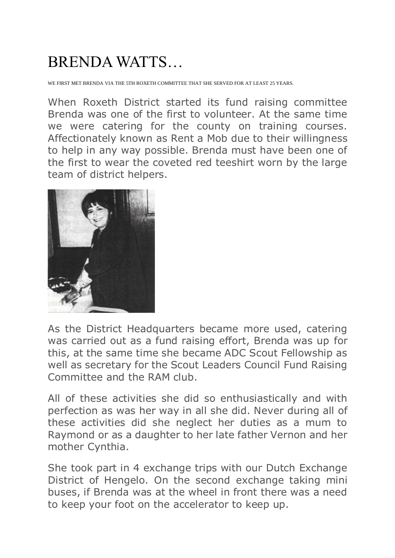## BRENDA WATTS…

WE FIRST MET BRENDA VIA THE 5TH ROXETH COMMITTEE THAT SHE SERVED FOR AT LEAST 25 YEARS.

When Roxeth District started its fund raising committee Brenda was one of the first to volunteer. At the same time we were catering for the county on training courses. Affectionately known as Rent a Mob due to their willingness to help in any way possible. Brenda must have been one of the first to wear the coveted red teeshirt worn by the large team of district helpers.



As the District Headquarters became more used, catering was carried out as a fund raising effort, Brenda was up for this, at the same time she became ADC Scout Fellowship as well as secretary for the Scout Leaders Council Fund Raising Committee and the RAM club.

All of these activities she did so enthusiastically and with perfection as was her way in all she did. Never during all of these activities did she neglect her duties as a mum to Raymond or as a daughter to her late father Vernon and her mother Cynthia.

She took part in 4 exchange trips with our Dutch Exchange District of Hengelo. On the second exchange taking mini buses, if Brenda was at the wheel in front there was a need to keep your foot on the accelerator to keep up.